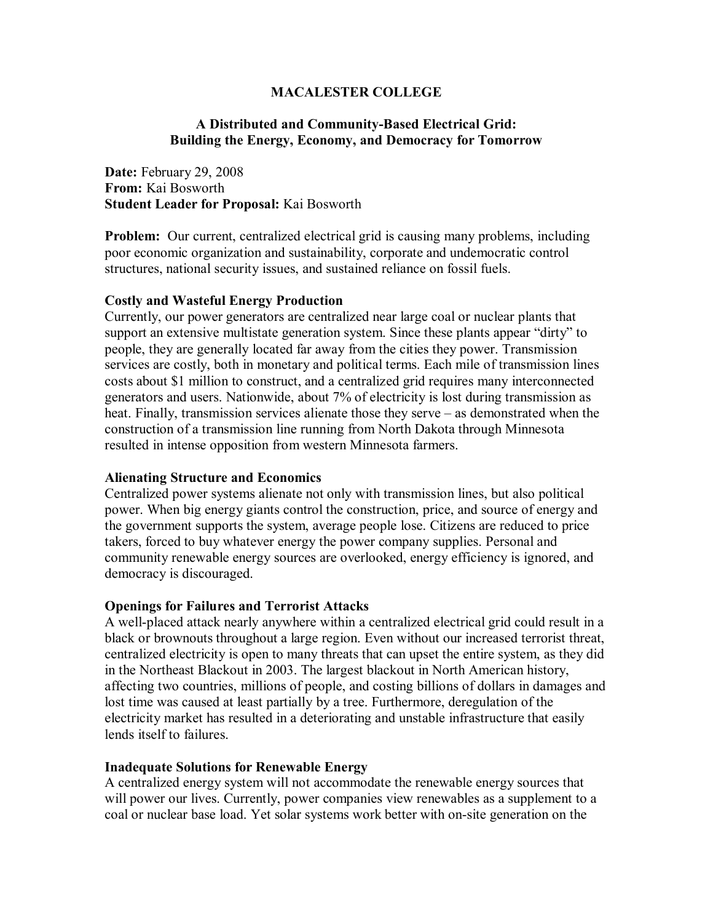### **MACALESTER COLLEGE**

## **A Distributed and Community-Based Electrical Grid: Building the Energy, Economy, and Democracy for Tomorrow**

**Date:** February 29, 2008 **From:** Kai Bosworth **Student Leader for Proposal:** Kai Bosworth

**Problem:** Our current, centralized electrical grid is causing many problems, including poor economic organization and sustainability, corporate and undemocratic control structures, national security issues, and sustained reliance on fossil fuels.

### **Costly and Wasteful Energy Production**

Currently, our power generators are centralized near large coal or nuclear plants that support an extensive multistate generation system. Since these plants appear "dirty" to people, they are generally located far away from the cities they power. Transmission services are costly, both in monetary and political terms. Each mile of transmission lines costs about \$1 million to construct, and a centralized grid requires many interconnected generators and users. Nationwide, about 7% of electricity is lost during transmission as heat. Finally, transmission services alienate those they serve – as demonstrated when the construction of a transmission line running from North Dakota through Minnesota resulted in intense opposition from western Minnesota farmers.

### **Alienating Structure and Economics**

Centralized power systems alienate not only with transmission lines, but also political power. When big energy giants control the construction, price, and source of energy and the government supports the system, average people lose. Citizens are reduced to price takers, forced to buy whatever energy the power company supplies. Personal and community renewable energy sources are overlooked, energy efficiency is ignored, and democracy is discouraged.

### **Openings for Failures and Terrorist Attacks**

A well-placed attack nearly anywhere within a centralized electrical grid could result in a black or brownouts throughout a large region. Even without our increased terrorist threat, centralized electricity is open to many threats that can upset the entire system, as they did in the Northeast Blackout in 2003. The largest blackout in North American history, affecting two countries, millions of people, and costing billions of dollars in damages and lost time was caused at least partially by a tree. Furthermore, deregulation of the electricity market has resulted in a deteriorating and unstable infrastructure that easily lends itself to failures.

### **Inadequate Solutions for Renewable Energy**

A centralized energy system will not accommodate the renewable energy sources that will power our lives. Currently, power companies view renewables as a supplement to a coal or nuclear base load. Yet solar systems work better with on-site generation on the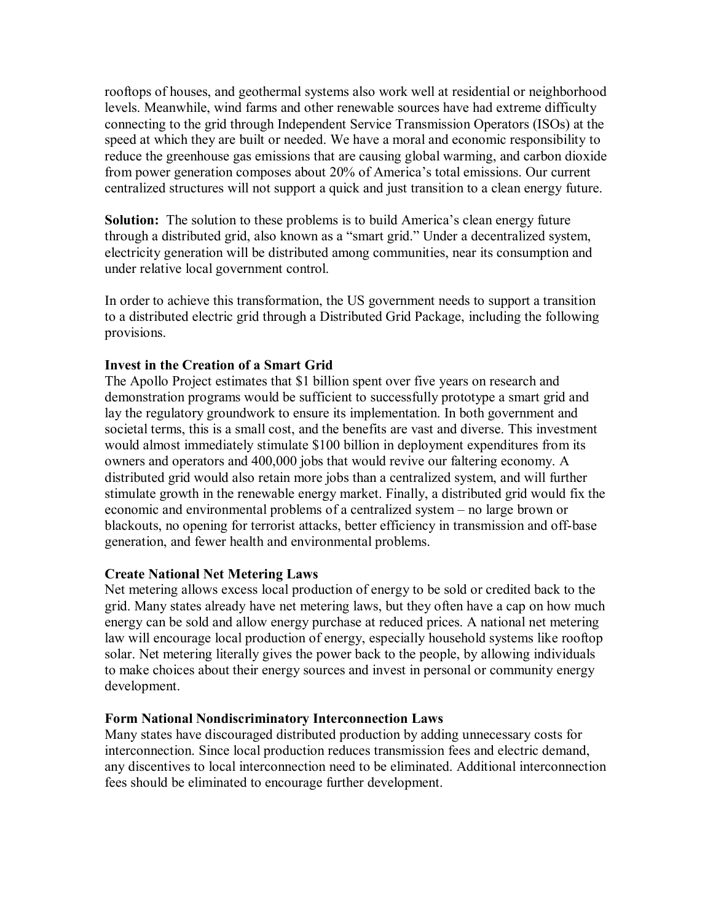rooftops of houses, and geothermal systems also work well at residential or neighborhood levels. Meanwhile, wind farms and other renewable sources have had extreme difficulty connecting to the grid through Independent Service Transmission Operators (ISOs) at the speed at which they are built or needed. We have a moral and economic responsibility to reduce the greenhouse gas emissions that are causing global warming, and carbon dioxide from power generation composes about 20% of America's total emissions. Our current centralized structures will not support a quick and just transition to a clean energy future.

**Solution:** The solution to these problems is to build America's clean energy future through a distributed grid, also known as a "smart grid." Under a decentralized system, electricity generation will be distributed among communities, near its consumption and under relative local government control.

In order to achieve this transformation, the US government needs to support a transition to a distributed electric grid through a Distributed Grid Package, including the following provisions.

# **Invest in the Creation of a Smart Grid**

The Apollo Project estimates that \$1 billion spent over five years on research and demonstration programs would be sufficient to successfully prototype a smart grid and lay the regulatory groundwork to ensure its implementation. In both government and societal terms, this is a small cost, and the benefits are vast and diverse. This investment would almost immediately stimulate \$100 billion in deployment expenditures from its owners and operators and 400,000 jobs that would revive our faltering economy. A distributed grid would also retain more jobs than a centralized system, and will further stimulate growth in the renewable energy market. Finally, a distributed grid would fix the economic and environmental problems of a centralized system – no large brown or blackouts, no opening for terrorist attacks, better efficiency in transmission and off-base generation, and fewer health and environmental problems.

### **Create National Net Metering Laws**

Net metering allows excess local production of energy to be sold or credited back to the grid. Many states already have net metering laws, but they often have a cap on how much energy can be sold and allow energy purchase at reduced prices. A national net metering law will encourage local production of energy, especially household systems like rooftop solar. Net metering literally gives the power back to the people, by allowing individuals to make choices about their energy sources and invest in personal or community energy development.

### **Form National Nondiscriminatory Interconnection Laws**

Many states have discouraged distributed production by adding unnecessary costs for interconnection. Since local production reduces transmission fees and electric demand, any discentives to local interconnection need to be eliminated. Additional interconnection fees should be eliminated to encourage further development.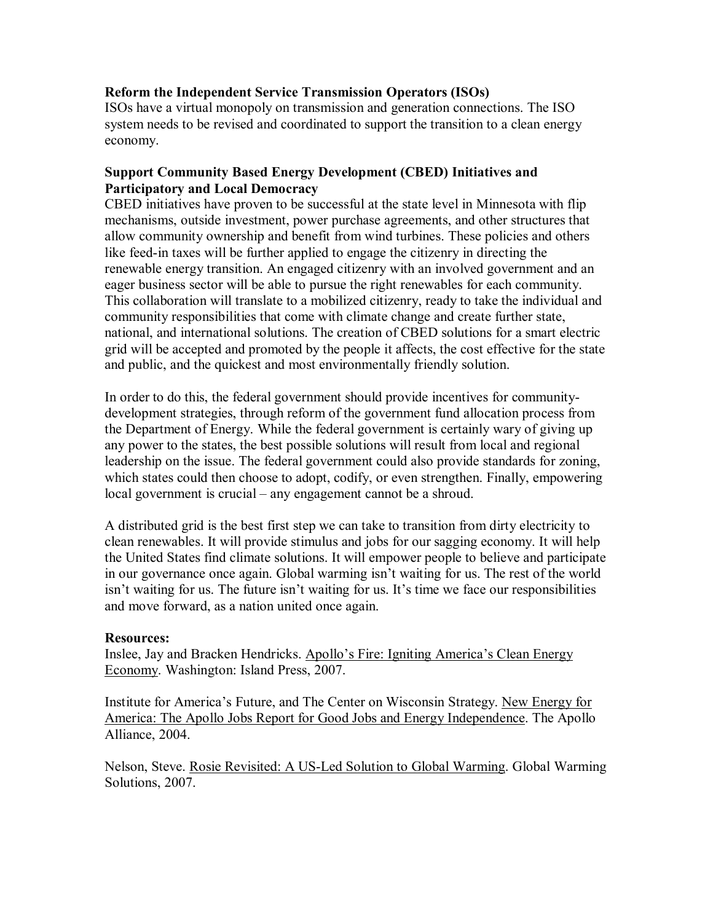## **Reform the Independent Service Transmission Operators (ISOs)**

ISOs have a virtual monopoly on transmission and generation connections. The ISO system needs to be revised and coordinated to support the transition to a clean energy economy.

## **Support Community Based Energy Development (CBED) Initiatives and Participatory and Local Democracy**

CBED initiatives have proven to be successful at the state level in Minnesota with flip mechanisms, outside investment, power purchase agreements, and other structures that allow community ownership and benefit from wind turbines. These policies and others like feed-in taxes will be further applied to engage the citizenry in directing the renewable energy transition. An engaged citizenry with an involved government and an eager business sector will be able to pursue the right renewables for each community. This collaboration will translate to a mobilized citizenry, ready to take the individual and community responsibilities that come with climate change and create further state, national, and international solutions. The creation of CBED solutions for a smart electric grid will be accepted and promoted by the people it affects, the cost effective for the state and public, and the quickest and most environmentally friendly solution.

In order to do this, the federal government should provide incentives for communitydevelopment strategies, through reform of the government fund allocation process from the Department of Energy. While the federal government is certainly wary of giving up any power to the states, the best possible solutions will result from local and regional leadership on the issue. The federal government could also provide standards for zoning, which states could then choose to adopt, codify, or even strengthen. Finally, empowering local government is crucial – any engagement cannot be a shroud.

A distributed grid is the best first step we can take to transition from dirty electricity to clean renewables. It will provide stimulus and jobs for our sagging economy. It will help the United States find climate solutions. It will empower people to believe and participate in our governance once again. Global warming isn't waiting for us. The rest of the world isn't waiting for us. The future isn't waiting for us. It's time we face our responsibilities and move forward, as a nation united once again.

### **Resources:**

Inslee, Jay and Bracken Hendricks. Apollo's Fire: Igniting America's Clean Energy Economy. Washington: Island Press, 2007.

Institute for Americaís Future, and The Center on Wisconsin Strategy. New Energy for America: The Apollo Jobs Report for Good Jobs and Energy Independence. The Apollo Alliance, 2004.

Nelson, Steve. Rosie Revisited: A US-Led Solution to Global Warming. Global Warming Solutions, 2007.